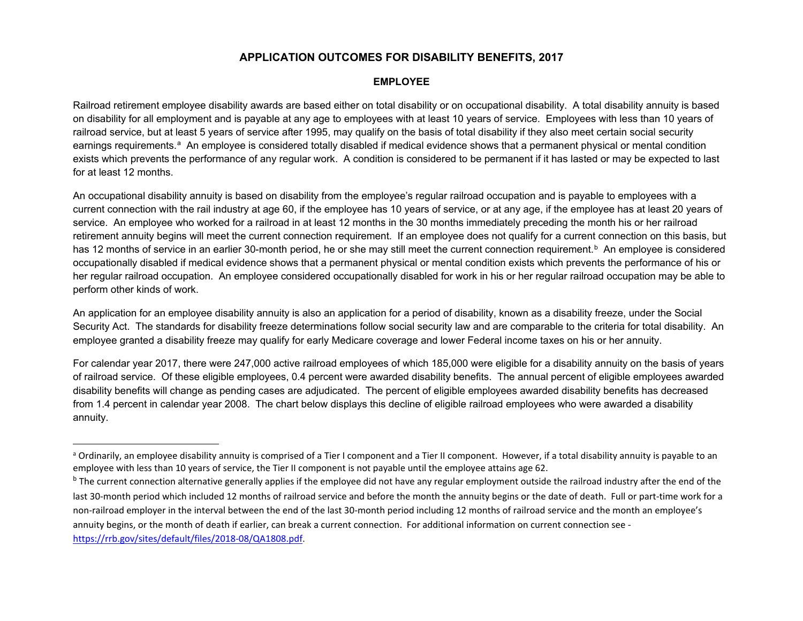# **APPLICATION OUTCOMES FOR DISABILITY BENEFITS, 2017**

## <span id="page-0-1"></span><span id="page-0-0"></span>**EMPLOYEE**

Railroad retirement employee disability awards are based either on total disability or on occupational disability. A total disability annuity is based on disability for all employment and is payable at any age to employees with at least 10 years of service. Employees with less than 10 years of railroad service, but at least 5 years of service after 1995, may qualify on the basis of total disability if they also meet certain social security e[a](#page-0-0)rnings requirements.<sup>a</sup> An employee is considered totally disabled if medical evidence shows that a permanent physical or mental condition exists which prevents the performance of any regular work. A condition is considered to be permanent if it has lasted or may be expected to last for at least 12 months.

An occupational disability annuity is based on disability from the employee's regular railroad occupation and is payable to employees with a current connection with the rail industry at age 60, if the employee has 10 years of service, or at any age, if the employee has at least 20 years of service. An employee who worked for a railroad in at least 12 months in the 30 months immediately preceding the month his or her railroad retirement annuity begins will meet the current connection requirement. If an employee does not qualify for a current connection on this basis, but has 12 months of service in an earlier 30-month period, he or she may still meet the current connection requirement.<sup>b</sup> An employee is considered occupationally disabled if medical evidence shows that a permanent physical or mental condition exists which prevents the performance of his or her regular railroad occupation. An employee considered occupationally disabled for work in his or her regular railroad occupation may be able to perform other kinds of work.

An application for an employee disability annuity is also an application for a period of disability, known as a disability freeze, under the Social Security Act. The standards for disability freeze determinations follow social security law and are comparable to the criteria for total disability. An employee granted a disability freeze may qualify for early Medicare coverage and lower Federal income taxes on his or her annuity.

For calendar year 2017, there were 247,000 active railroad employees of which 185,000 were eligible for a disability annuity on the basis of years of railroad service. Of these eligible employees, 0.4 percent were awarded disability benefits. The annual percent of eligible employees awarded disability benefits will change as pending cases are adjudicated. The percent of eligible employees awarded disability benefits has decreased from 1.4 percent in calendar year 2008. The chart below displays this decline of eligible railroad employees who were awarded a disability annuity.

<sup>&</sup>lt;sup>a</sup> Ordinarily, an employee disability annuity is comprised of a Tier I component and a Tier II component. However, if a total disability annuity is payable to an employee with less than 10 years of service, the Tier II component is not payable until the employee attains age 62.

<sup>&</sup>lt;sup>b</sup> The current connection alternative generally applies if the employee did not have any regular employment outside the railroad industry after the end of the last 30-month period which included 12 months of railroad service and before the month the annuity begins or the date of death. Full or part-time work for a non-railroad employer in the interval between the end of the last 30-month period including 12 months of railroad service and the month an employee's annuity begins, or the month of death if earlier, can break a current connection. For additional information on current connection see [https://rrb.gov/sites/default/files/2018-08/QA1808.pdf.](https://rrb.gov/sites/default/files/2018-08/QA1808.pdf)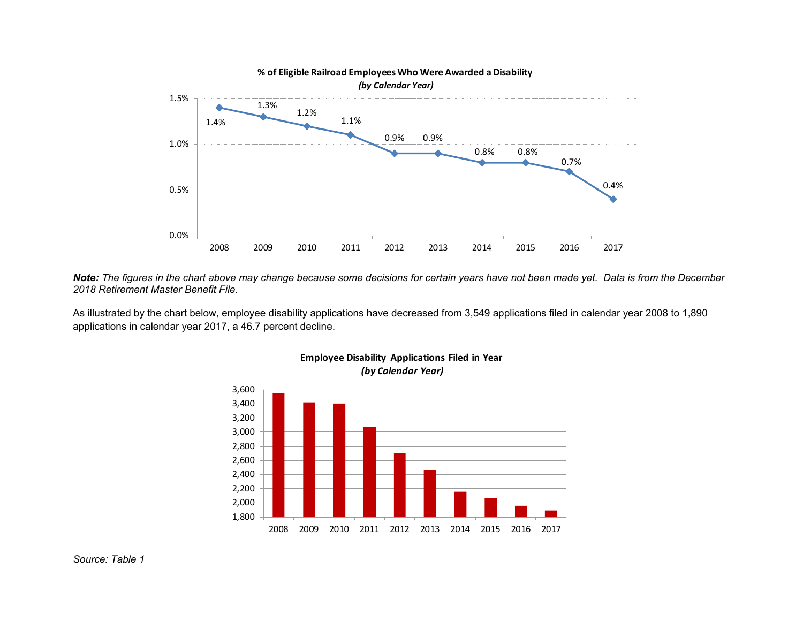

*Note: The figures in the chart above may change because some decisions for certain years have not been made yet. Data is from the December 2018 Retirement Master Benefit File.*

As illustrated by the chart below, employee disability applications have decreased from 3,549 applications filed in calendar year 2008 to 1,890 applications in calendar year 2017, a 46.7 percent decline.



## **Employee Disability Applications Filed in Year** *(by Calendar Year)*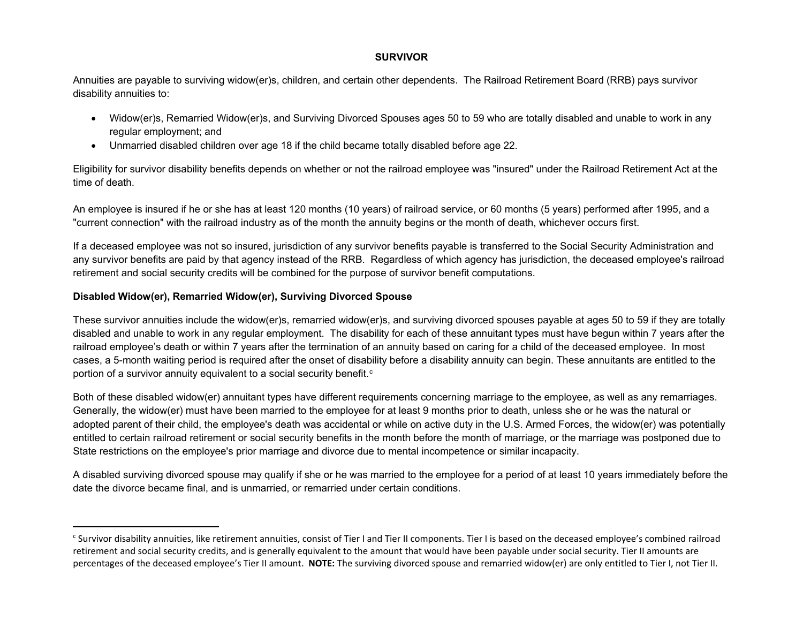## <span id="page-2-0"></span>**SURVIVOR**

Annuities are payable to surviving widow(er)s, children, and certain other dependents. The Railroad Retirement Board (RRB) pays survivor disability annuities to:

- Widow(er)s, Remarried Widow(er)s, and Surviving Divorced Spouses ages 50 to 59 who are totally disabled and unable to work in any regular employment; and
- Unmarried disabled children over age 18 if the child became totally disabled before age 22.

Eligibility for survivor disability benefits depends on whether or not the railroad employee was "insured" under the Railroad Retirement Act at the time of death.

An employee is insured if he or she has at least 120 months (10 years) of railroad service, or 60 months (5 years) performed after 1995, and a "current connection" with the railroad industry as of the month the annuity begins or the month of death, whichever occurs first.

If a deceased employee was not so insured, jurisdiction of any survivor benefits payable is transferred to the Social Security Administration and any survivor benefits are paid by that agency instead of the RRB. Regardless of which agency has jurisdiction, the deceased employee's railroad retirement and social security credits will be combined for the purpose of survivor benefit computations.

## **Disabled Widow(er), Remarried Widow(er), Surviving Divorced Spouse**

These survivor annuities include the widow(er)s, remarried widow(er)s, and surviving divorced spouses payable at ages 50 to 59 if they are totally disabled and unable to work in any regular employment. The disability for each of these annuitant types must have begun within 7 years after the railroad employee's death or within 7 years after the termination of an annuity based on caring for a child of the deceased employee. In most cases, a 5-month waiting period is required after the onset of disability before a disability annuity can begin. These annuitants are entitled to the portion of a survivor annuity equivalent to a so[c](#page-2-0)ial security benefit. $^{\mathrm{c}}$ 

Both of these disabled widow(er) annuitant types have different requirements concerning marriage to the employee, as well as any remarriages. Generally, the widow(er) must have been married to the employee for at least 9 months prior to death, unless she or he was the natural or adopted parent of their child, the employee's death was accidental or while on active duty in the U.S. Armed Forces, the widow(er) was potentially entitled to certain railroad retirement or social security benefits in the month before the month of marriage, or the marriage was postponed due to State restrictions on the employee's prior marriage and divorce due to mental incompetence or similar incapacity.

A disabled surviving divorced spouse may qualify if she or he was married to the employee for a period of at least 10 years immediately before the date the divorce became final, and is unmarried, or remarried under certain conditions.

<sup>&</sup>lt;sup>c</sup> Survivor disability annuities, like retirement annuities, consist of Tier I and Tier II components. Tier I is based on the deceased employee's combined railroad retirement and social security credits, and is generally equivalent to the amount that would have been payable under social security. Tier II amounts are percentages of the deceased employee's Tier II amount. **NOTE:** The surviving divorced spouse and remarried widow(er) are only entitled to Tier I, not Tier II.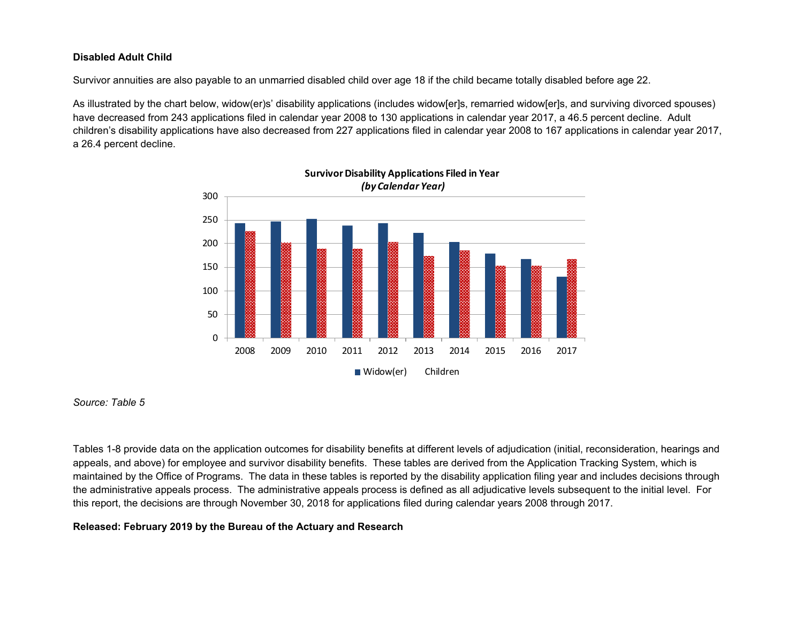## **Disabled Adult Child**

Survivor annuities are also payable to an unmarried disabled child over age 18 if the child became totally disabled before age 22.

As illustrated by the chart below, widow(er)s' disability applications (includes widow[er]s, remarried widow[er]s, and surviving divorced spouses) have decreased from 243 applications filed in calendar year 2008 to 130 applications in calendar year 2017, a 46.5 percent decline. Adult children's disability applications have also decreased from 227 applications filed in calendar year 2008 to 167 applications in calendar year 2017, a 26.4 percent decline.



*Source: Table 5*

Tables 1-8 provide data on the application outcomes for disability benefits at different levels of adjudication (initial, reconsideration, hearings and appeals, and above) for employee and survivor disability benefits. These tables are derived from the Application Tracking System, which is maintained by the Office of Programs. The data in these tables is reported by the disability application filing year and includes decisions through the administrative appeals process. The administrative appeals process is defined as all adjudicative levels subsequent to the initial level. For this report, the decisions are through November 30, 2018 for applications filed during calendar years 2008 through 2017.

# **Released: February 2019 by the Bureau of the Actuary and Research**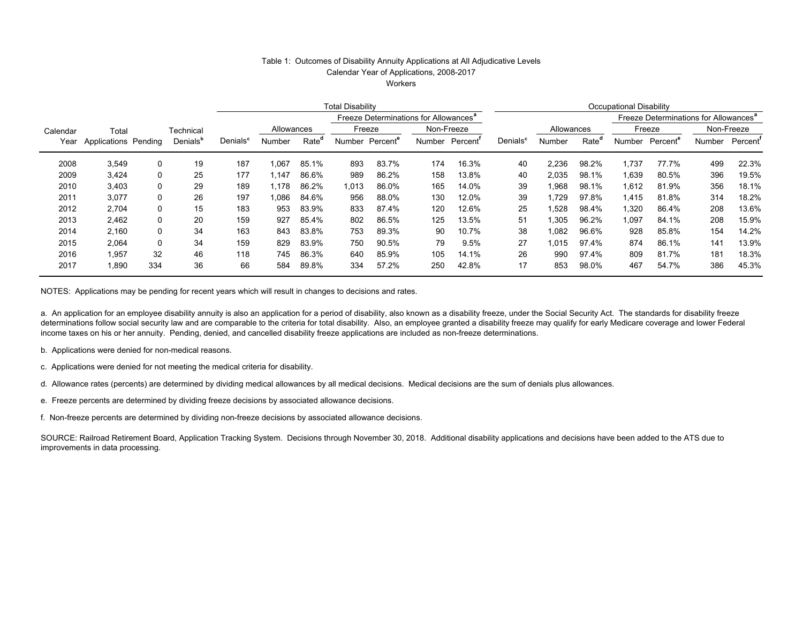## Table 1: Outcomes of Disability Annuity Applications at All Adjudicative Levels Calendar Year of Applications, 2008-2017

**Workers** 

|          |                      |     |                      |                      | <b>Total Disability</b>                           |                   |        |         |            | <b>Occupational Disability</b> |                      |            |                   |                                                   |         |        |                      |
|----------|----------------------|-----|----------------------|----------------------|---------------------------------------------------|-------------------|--------|---------|------------|--------------------------------|----------------------|------------|-------------------|---------------------------------------------------|---------|--------|----------------------|
|          |                      |     |                      |                      | Freeze Determinations for Allowances <sup>a</sup> |                   |        |         |            |                                |                      |            |                   | Freeze Determinations for Allowances <sup>a</sup> |         |        |                      |
| Calendar | Total                |     | Technical            |                      | Allowances                                        |                   |        | Freeze  | Non-Freeze |                                |                      | Allowances |                   |                                                   | Freeze  |        | Non-Freeze           |
| Year     | Applications Pending |     | Denials <sup>b</sup> | Denials <sup>c</sup> | Number                                            | Rate <sup>o</sup> | Number | Percent | Number     | Percent'                       | Denials <sup>c</sup> | Number     | Rate <sup>o</sup> | Number                                            | Percent | Number | Percent <sup>'</sup> |
| 2008     | 3,549                | 0   | 19                   | 187                  | 067, ا                                            | 85.1%             | 893    | 83.7%   | 174        | 16.3%                          | 40                   | 2,236      | 98.2%             | 1,737                                             | 77.7%   | 499    | 22.3%                |
| 2009     | 3,424                | 0   | 25                   | 177                  | 1.147                                             | 86.6%             | 989    | 86.2%   | 158        | 13.8%                          | 40                   | 2,035      | 98.1%             | 1,639                                             | 80.5%   | 396    | 19.5%                |
| 2010     | 3.403                | 0   | 29                   | 189                  | 1.178                                             | 86.2%             | 1,013  | 86.0%   | 165        | 14.0%                          | 39                   | 968.       | 98.1%             | 1.612                                             | 81.9%   | 356    | 18.1%                |
| 2011     | 3,077                | 0   | 26                   | 197                  | 1.086                                             | 84.6%             | 956    | 88.0%   | 130        | 12.0%                          | 39                   | 1.729      | 97.8%             | 1.415                                             | 81.8%   | 314    | 18.2%                |
| 2012     | 2.704                | 0   | 15                   | 183                  | 953                                               | 83.9%             | 833    | 87.4%   | 120        | 12.6%                          | 25                   | .528       | 98.4%             | .320                                              | 86.4%   | 208    | 13.6%                |
| 2013     | 2,462                | 0   | 20                   | 159                  | 927                                               | 85.4%             | 802    | 86.5%   | 125        | 13.5%                          | 51                   | l.305      | 96.2%             | 1.097                                             | 84.1%   | 208    | 15.9%                |
| 2014     | 2.160                | 0   | 34                   | 163                  | 843                                               | 83.8%             | 753    | 89.3%   | 90         | 10.7%                          | 38                   | 1.082      | 96.6%             | 928                                               | 85.8%   | 154    | 14.2%                |
| 2015     | 2.064                | 0   | 34                   | 159                  | 829                                               | 83.9%             | 750    | 90.5%   | 79         | 9.5%                           | 27                   | 1.015      | 97.4%             | 874                                               | 86.1%   | 141    | 13.9%                |
| 2016     | 1.957                | 32  | 46                   | 118                  | 745                                               | 86.3%             | 640    | 85.9%   | 105        | 14.1%                          | 26                   | 990        | 97.4%             | 809                                               | 81.7%   | 181    | 18.3%                |
| 2017     | 1,890                | 334 | 36                   | 66                   | 584                                               | 89.8%             | 334    | 57.2%   | 250        | 42.8%                          | 17                   | 853        | 98.0%             | 467                                               | 54.7%   | 386    | 45.3%                |

NOTES: Applications may be pending for recent years which will result in changes to decisions and rates.

a. An application for an employee disability annuity is also an application for a period of disability, also known as a disability freeze, under the Social Security Act. The standards for disability freeze determinations follow social security law and are comparable to the criteria for total disability. Also, an employee granted a disability freeze may qualify for early Medicare coverage and lower Federal income taxes on his or her annuity. Pending, denied, and cancelled disability freeze applications are included as non-freeze determinations.

- b. Applications were denied for non-medical reasons.
- c. Applications were denied for not meeting the medical criteria for disability.
- d. Allowance rates (percents) are determined by dividing medical allowances by all medical decisions. Medical decisions are the sum of denials plus allowances.
- e. Freeze percents are determined by dividing freeze decisions by associated allowance decisions.
- f. Non-freeze percents are determined by dividing non-freeze decisions by associated allowance decisions.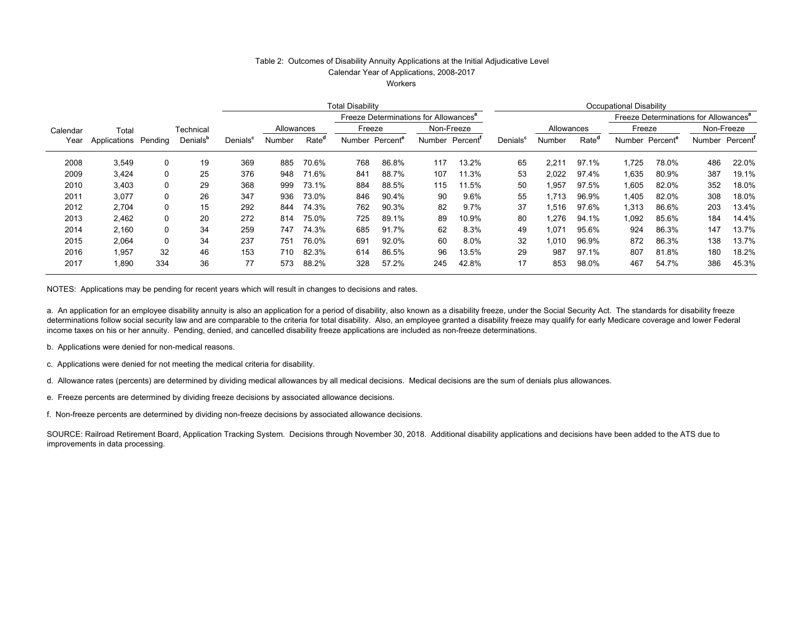## Table 2: Outcomes of Disability Annuity Applications at the Initial Adjudicative Level

Calendar Year of Applications, 2008-2017

**Workers** 

|          |                      |     |                      |                      | <b>Total Disability</b> |                   |                                       |       |                |            | <b>Occupational Disability</b> |                                                   |                   |        |                      |     |                             |
|----------|----------------------|-----|----------------------|----------------------|-------------------------|-------------------|---------------------------------------|-------|----------------|------------|--------------------------------|---------------------------------------------------|-------------------|--------|----------------------|-----|-----------------------------|
|          |                      |     |                      |                      |                         |                   | Freeze Determinations for Allowances' |       |                |            |                                | Freeze Determinations for Allowances <sup>a</sup> |                   |        |                      |     |                             |
| Calendar | Total                |     | Technical            |                      | Allowances              |                   | Freeze                                |       |                | Non-Freeze |                                | Allowances                                        |                   | Freeze |                      |     | Non-Freeze                  |
| Year     | Applications Pending |     | Denials <sup>t</sup> | Denials <sup>c</sup> | Number                  | Rate <sup>"</sup> | Number Percent <sup>e</sup>           |       | Number Percent |            | Denials <sup>c</sup>           | Number                                            | Rate <sup>o</sup> | Number | Percent <sup>e</sup> |     | Number Percent <sup>'</sup> |
| 2008     | 3,549                | 0   | 19                   | 369                  | 885                     | 70.6%             | 768                                   | 86.8% | 117            | 13.2%      | 65                             | 2.211                                             | 97.1%             | 1,725  | 78.0%                | 486 | 22.0%                       |
| 2009     | 3,424                | 0   | 25                   | 376                  | 948                     | 71.6%             | 841                                   | 88.7% | 107            | 11.3%      | 53                             | 2.022                                             | 97.4%             | 1,635  | 80.9%                | 387 | 19.1%                       |
| 2010     | 3.403                | 0   | 29                   | 368                  | 999                     | 73.1%             | 884                                   | 88.5% | 115            | 11.5%      | 50                             | 1,957                                             | 97.5%             | 1,605  | 82.0%                | 352 | 18.0%                       |
| 2011     | 3.077                | 0   | 26                   | 347                  | 936                     | 73.0%             | 846                                   | 90.4% | 90             | 9.6%       | 55                             | 1.713                                             | 96.9%             | 1.405  | 82.0%                | 308 | 18.0%                       |
| 2012     | 2,704                | 0   | 15                   | 292                  | 844                     | 74.3%             | 762                                   | 90.3% | 82             | 9.7%       | 37                             | 1,516                                             | 97.6%             | 1,313  | 86.6%                | 203 | 13.4%                       |
| 2013     | 2,462                | 0   | 20                   | 272                  | 814                     | 75.0%             | 725                                   | 89.1% | 89             | 10.9%      | 80                             | 1,276                                             | 94.1%             | 1,092  | 85.6%                | 184 | 14.4%                       |
| 2014     | 2.160                | 0   | 34                   | 259                  | 747                     | 74.3%             | 685                                   | 91.7% | 62             | 8.3%       | 49                             | 1.071                                             | 95.6%             | 924    | 86.3%                | 147 | 13.7%                       |
| 2015     | 2,064                | 0   | 34                   | 237                  | 751                     | 76.0%             | 691                                   | 92.0% | 60             | $8.0\%$    | 32                             | 1,010                                             | 96.9%             | 872    | 86.3%                | 138 | 13.7%                       |
| 2016     | 1.957                | 32  | 46                   | 153                  | 710                     | 82.3%             | 614                                   | 86.5% | 96             | 13.5%      | 29                             | 987                                               | 97.1%             | 807    | 81.8%                | 180 | 18.2%                       |
| 2017     | 1,890                | 334 | 36                   | 77                   | 573                     | 88.2%             | 328                                   | 57.2% | 245            | 42.8%      | 17                             | 853                                               | 98.0%             | 467    | 54.7%                | 386 | 45.3%                       |

NOTES: Applications may be pending for recent years which will result in changes to decisions and rates.

a. An application for an employee disability annuity is also an application for a period of disability, also known as a disability freeze, under the Social Security Act. The standards for disability freeze determinations follow social security law and are comparable to the criteria for total disability. Also, an employee granted a disability freeze may qualify for early Medicare coverage and lower Federal income taxes on his or her annuity. Pending, denied, and cancelled disability freeze applications are included as non-freeze determinations.

b. Applications were denied for non-medical reasons.

c. Applications were denied for not meeting the medical criteria for disability.

d. Allowance rates (percents) are determined by dividing medical allowances by all medical decisions. Medical decisions are the sum of denials plus allowances.

e. Freeze percents are determined by dividing freeze decisions by associated allowance decisions.

f. Non-freeze percents are determined by dividing non-freeze decisions by associated allowance decisions.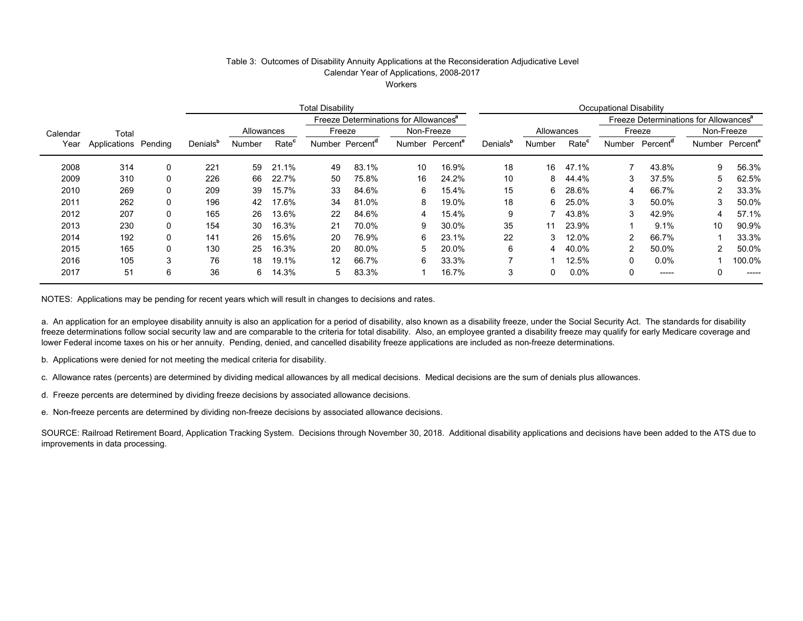## Table 3: Outcomes of Disability Annuity Applications at the Reconsideration Adjudicative Level

Calendar Year of Applications, 2008-2017

**Workers** 

|          |                      |          | <b>Total Disability</b> |            |                                                   |    |                             | Occupational Disability     |       |                      |               |                   |          |                      |                                                   |                      |
|----------|----------------------|----------|-------------------------|------------|---------------------------------------------------|----|-----------------------------|-----------------------------|-------|----------------------|---------------|-------------------|----------|----------------------|---------------------------------------------------|----------------------|
|          |                      |          |                         |            | Freeze Determinations for Allowances <sup>a</sup> |    |                             |                             |       |                      |               |                   |          |                      | Freeze Determinations for Allowances <sup>a</sup> |                      |
| Calendar | Total                |          |                         | Allowances |                                                   |    | Freeze                      | Non-Freeze                  |       |                      | Allowances    |                   | Freeze   |                      |                                                   | Non-Freeze           |
| Year     | Applications Pending |          | Denials <sup>b</sup>    | Number     | Rate <sup>c</sup>                                 |    | Number Percent <sup>a</sup> | Number Percent <sup>e</sup> |       | Denials <sup>b</sup> | <b>Number</b> | Rate <sup>c</sup> | Number   | Percent <sup>a</sup> | Number                                            | Percent <sup>e</sup> |
| 2008     | 314                  | 0        | 221                     | 59         | 21.1%                                             | 49 | 83.1%                       | 10                          | 16.9% | 18                   | 16            | 47.1%             |          | 43.8%                | 9                                                 | 56.3%                |
| 2009     | 310                  | 0        | 226                     | 66         | 22.7%                                             | 50 | 75.8%                       | 16                          | 24.2% | 10                   | 8             | 44.4%             | 3        | 37.5%                | 5                                                 | 62.5%                |
| 2010     | 269                  | $\Omega$ | 209                     | 39         | 15.7%                                             | 33 | 84.6%                       | 6                           | 15.4% | 15                   | 6.            | 28.6%             | 4        | 66.7%                |                                                   | 33.3%                |
| 2011     | 262                  | 0        | 196                     | 42         | 17.6%                                             | 34 | 81.0%                       | 8                           | 19.0% | 18                   | 6.            | 25.0%             |          | 50.0%                | 3                                                 | 50.0%                |
| 2012     | 207                  | $\Omega$ | 165                     | 26         | 13.6%                                             | 22 | 84.6%                       |                             | 15.4% | 9                    |               | 43.8%             | 3        | 42.9%                | 4                                                 | 57.1%                |
| 2013     | 230                  | $\Omega$ | 154                     | 30         | 16.3%                                             | 21 | 70.0%                       | 9                           | 30.0% | 35                   | 11            | 23.9%             |          | 9.1%                 | 10                                                | 90.9%                |
| 2014     | 192                  | $\Omega$ | 141                     | 26         | 15.6%                                             | 20 | 76.9%                       | 6                           | 23.1% | 22                   | 3             | 12.0%             | 2        | 66.7%                |                                                   | 33.3%                |
| 2015     | 165                  | $\Omega$ | 130                     | 25         | 16.3%                                             | 20 | 80.0%                       | 5                           | 20.0% | 6                    | 4             | 40.0%             | 2        | 50.0%                | 2                                                 | 50.0%                |
| 2016     | 105                  | 3        | 76                      | 18         | 19.1%                                             | 12 | 66.7%                       | 6                           | 33.3% |                      |               | 12.5%             | $\Omega$ | $0.0\%$              |                                                   | 100.0%               |
| 2017     | 51                   | 6        | 36                      | 6          | 14.3%                                             | 5  | 83.3%                       |                             | 16.7% | 3                    | 0             | 0.0%              |          | -----                |                                                   | -----                |

NOTES: Applications may be pending for recent years which will result in changes to decisions and rates.

a. An application for an employee disability annuity is also an application for a period of disability, also known as a disability freeze, under the Social Security Act. The standards for disability freeze determinations follow social security law and are comparable to the criteria for total disability. Also, an employee granted a disability freeze may qualify for early Medicare coverage and lower Federal income taxes on his or her annuity. Pending, denied, and cancelled disability freeze applications are included as non-freeze determinations.

b. Applications were denied for not meeting the medical criteria for disability.

c. Allowance rates (percents) are determined by dividing medical allowances by all medical decisions. Medical decisions are the sum of denials plus allowances.

d. Freeze percents are determined by dividing freeze decisions by associated allowance decisions.

e. Non-freeze percents are determined by dividing non-freeze decisions by associated allowance decisions.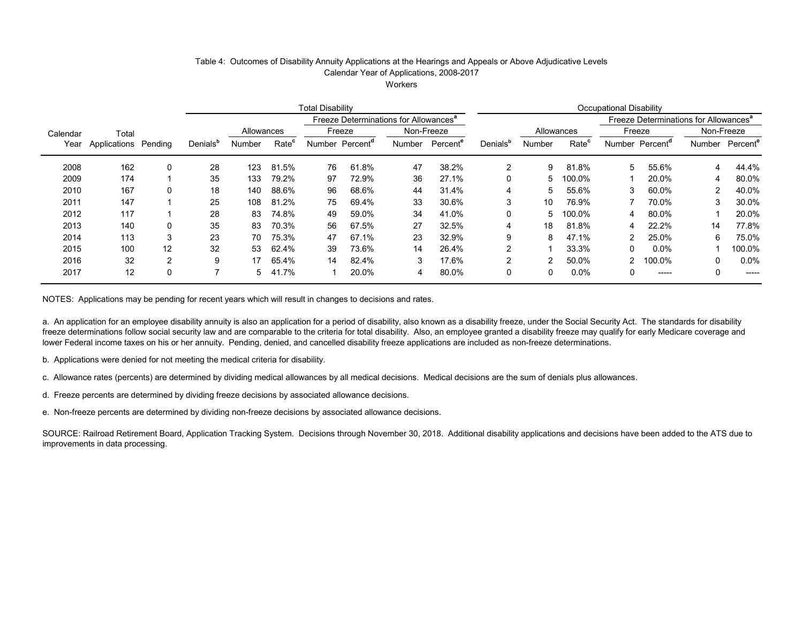#### Table 4: Outcomes of Disability Annuity Applications at the Hearings and Appeals or Above Adjudicative Levels Calendar Year of Applications, 2008-2017

**Workers** 

|          |              |          | <b>Total Disability</b> |            |                   |        |                      |                                                   | Occupational Disability |                      |              |                   |                                                   |                      |        |                      |
|----------|--------------|----------|-------------------------|------------|-------------------|--------|----------------------|---------------------------------------------------|-------------------------|----------------------|--------------|-------------------|---------------------------------------------------|----------------------|--------|----------------------|
|          |              |          |                         |            |                   |        |                      | Freeze Determinations for Allowances <sup>a</sup> |                         |                      |              |                   | Freeze Determinations for Allowances <sup>a</sup> |                      |        |                      |
| Calendar | Total        |          |                         | Allowances |                   |        | Freeze               | Non-Freeze                                        |                         |                      |              | Allowances        |                                                   | Freeze               |        | Non-Freeze           |
| Year     | Applications | Pending  | Denials <sup>b</sup>    | Number     | Rate <sup>c</sup> | Number | Percent <sup>a</sup> | Number                                            | Percent <sup>e</sup>    | Denials <sup>b</sup> | Number       | Rate <sup>c</sup> | Number                                            | Percent <sup>a</sup> | Number | Percent <sup>e</sup> |
| 2008     | 162          | $\Omega$ | 28                      | 123        | 81.5%             | 76     | 61.8%                | 47                                                | 38.2%                   | 2                    | 9            | 81.8%             | 5                                                 | 55.6%                | 4      | 44.4%                |
| 2009     | 174          |          | 35                      | 133        | 79.2%             | 97     | 72.9%                | 36                                                | 27.1%                   | 0                    | 5            | 100.0%            |                                                   | 20.0%                | 4      | 80.0%                |
| 2010     | 167          | 0        | 18                      | 140        | 88.6%             | 96     | 68.6%                | 44                                                | 31.4%                   | 4                    | 5            | 55.6%             | 3                                                 | 60.0%                | 2      | 40.0%                |
| 2011     | 147          |          | 25                      | 108        | 81.2%             | 75     | 69.4%                | 33                                                | 30.6%                   | 3                    | 10           | 76.9%             |                                                   | 70.0%                | 3      | 30.0%                |
| 2012     | 117          |          | 28                      | 83         | 74.8%             | 49     | 59.0%                | 34                                                | 41.0%                   | 0                    | 5.           | 100.0%            | 4                                                 | 80.0%                |        | 20.0%                |
| 2013     | 140          | $\Omega$ | 35                      | 83         | 70.3%             | 56     | 67.5%                | 27                                                | 32.5%                   | 4                    | 18           | 81.8%             | 4                                                 | 22.2%                | 14     | 77.8%                |
| 2014     | 113          | 3        | 23                      | 70         | 75.3%             | 47     | 67.1%                | 23                                                | 32.9%                   | 9                    | 8            | 47.1%             | 2                                                 | 25.0%                | 6      | 75.0%                |
| 2015     | 100          | 12       | 32                      | 53         | 62.4%             | 39     | 73.6%                | 14                                                | 26.4%                   | 2                    |              | 33.3%             | 0                                                 | $0.0\%$              |        | 100.0%               |
| 2016     | 32           | 2        | 9                       | 17         | 65.4%             | 14     | 82.4%                | 3                                                 | 17.6%                   | 2                    | $\mathbf{2}$ | 50.0%             | 2                                                 | 100.0%               | 0      | 0.0%                 |
| 2017     | 12           | 0        | -                       | 5          | 41.7%             |        | 20.0%                | 4                                                 | 80.0%                   | 0                    | 0            | 0.0%              |                                                   | $- - - - -$          | 0      | -----                |

NOTES: Applications may be pending for recent years which will result in changes to decisions and rates.

a. An application for an employee disability annuity is also an application for a period of disability, also known as a disability freeze, under the Social Security Act. The standards for disability freeze determinations follow social security law and are comparable to the criteria for total disability. Also, an employee granted a disability freeze may qualify for early Medicare coverage and lower Federal income taxes on his or her annuity. Pending, denied, and cancelled disability freeze applications are included as non-freeze determinations.

b. Applications were denied for not meeting the medical criteria for disability.

c. Allowance rates (percents) are determined by dividing medical allowances by all medical decisions. Medical decisions are the sum of denials plus allowances.

d. Freeze percents are determined by dividing freeze decisions by associated allowance decisions.

e. Non-freeze percents are determined by dividing non-freeze decisions by associated allowance decisions.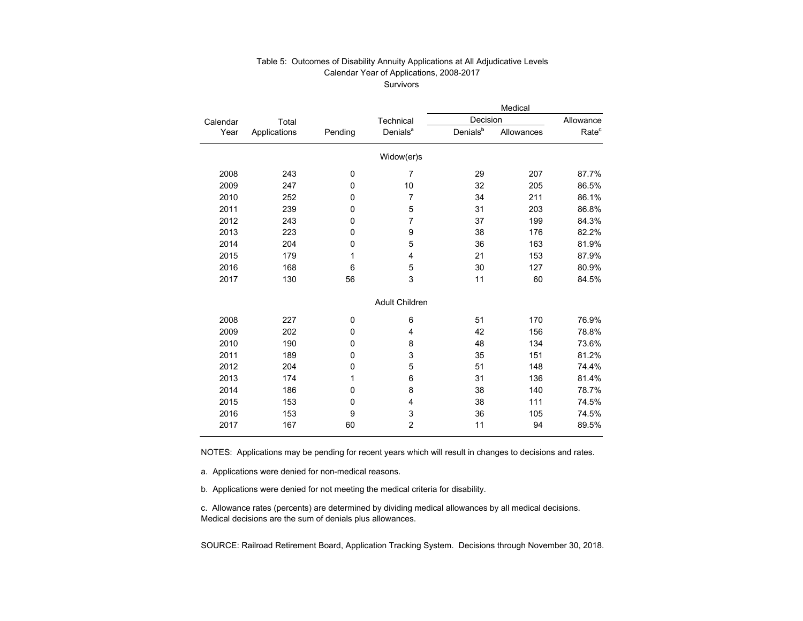#### Table 5: Outcomes of Disability Annuity Applications at All Adjudicative Levels Calendar Year of Applications, 2008-2017 Survivors

|          |              |         |                       |                      | Medical    |                   |
|----------|--------------|---------|-----------------------|----------------------|------------|-------------------|
| Calendar | Total        |         | Technical             | Decision             |            | Allowance         |
| Year     | Applications | Pending | Denials <sup>a</sup>  | Denials <sup>b</sup> | Allowances | Rate <sup>c</sup> |
|          |              |         | Widow(er)s            |                      |            |                   |
| 2008     | 243          | 0       | $\overline{7}$        | 29                   | 207        | 87.7%             |
| 2009     | 247          | 0       | 10                    | 32                   | 205        | 86.5%             |
| 2010     | 252          | 0       | $\overline{7}$        | 34                   | 211        | 86.1%             |
| 2011     | 239          | 0       | 5                     | 31                   | 203        | 86.8%             |
| 2012     | 243          | 0       | $\overline{7}$        | 37                   | 199        | 84.3%             |
| 2013     | 223          | 0       | 9                     | 38                   | 176        | 82.2%             |
| 2014     | 204          | 0       | 5                     | 36                   | 163        | 81.9%             |
| 2015     | 179          | 1       | 4                     | 21                   | 153        | 87.9%             |
| 2016     | 168          | 6       | 5                     | 30                   | 127        | 80.9%             |
| 2017     | 130          | 56      | 3                     | 11                   | 60         | 84.5%             |
|          |              |         | <b>Adult Children</b> |                      |            |                   |
| 2008     | 227          | 0       | 6                     | 51                   | 170        | 76.9%             |
| 2009     | 202          | 0       | 4                     | 42                   | 156        | 78.8%             |
| 2010     | 190          | 0       | 8                     | 48                   | 134        | 73.6%             |
| 2011     | 189          | 0       | 3                     | 35                   | 151        | 81.2%             |
| 2012     | 204          | 0       | 5                     | 51                   | 148        | 74.4%             |
| 2013     | 174          | 1       | 6                     | 31                   | 136        | 81.4%             |
| 2014     | 186          | 0       | 8                     | 38                   | 140        | 78.7%             |
| 2015     | 153          | 0       | 4                     | 38                   | 111        | 74.5%             |
| 2016     | 153          | 9       | 3                     | 36                   | 105        | 74.5%             |
| 2017     | 167          | 60      | $\overline{2}$        | 11                   | 94         | 89.5%             |

NOTES: Applications may be pending for recent years which will result in changes to decisions and rates.

a. Applications were denied for non-medical reasons.

b. Applications were denied for not meeting the medical criteria for disability.

c. Allowance rates (percents) are determined by dividing medical allowances by all medical decisions. Medical decisions are the sum of denials plus allowances.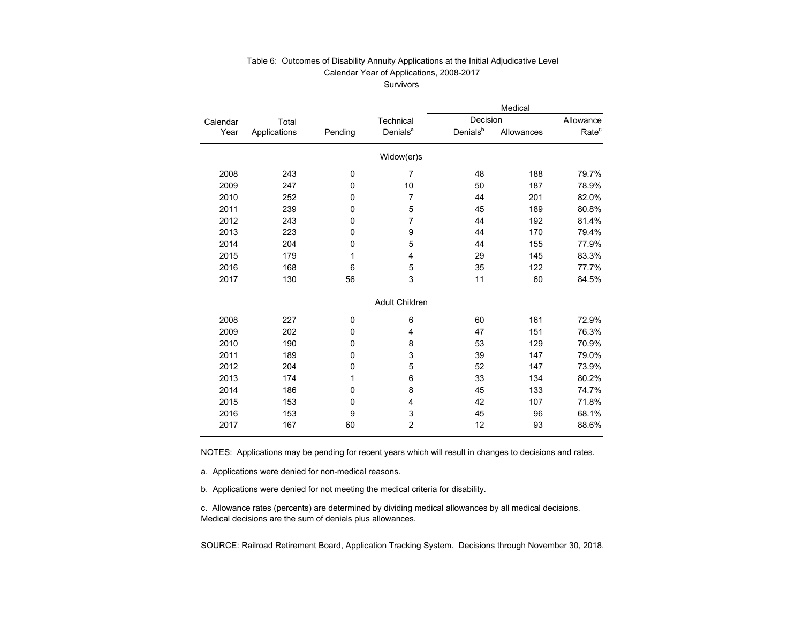#### Table 6: Outcomes of Disability Annuity Applications at the Initial Adjudicative Level Calendar Year of Applications, 2008-2017 Survivors

|          |              |             |                       |                      | Medical    |                   |
|----------|--------------|-------------|-----------------------|----------------------|------------|-------------------|
| Calendar | Total        |             | Technical             | Decision             |            | Allowance         |
| Year     | Applications | Pending     | Denials <sup>a</sup>  | Denials <sup>b</sup> | Allowances | Rate <sup>c</sup> |
|          |              |             | Widow(er)s            |                      |            |                   |
| 2008     | 243          | $\mathbf 0$ | 7                     | 48                   | 188        | 79.7%             |
| 2009     | 247          | 0           | 10                    | 50                   | 187        | 78.9%             |
| 2010     | 252          | 0           | $\overline{7}$        | 44                   | 201        | 82.0%             |
| 2011     | 239          | 0           | 5                     | 45                   | 189        | 80.8%             |
| 2012     | 243          | 0           | 7                     | 44                   | 192        | 81.4%             |
| 2013     | 223          | 0           | 9                     | 44                   | 170        | 79.4%             |
| 2014     | 204          | 0           | 5                     | 44                   | 155        | 77.9%             |
| 2015     | 179          | 1           | 4                     | 29                   | 145        | 83.3%             |
| 2016     | 168          | 6           | 5                     | 35                   | 122        | 77.7%             |
| 2017     | 130          | 56          | 3                     | 11                   | 60         | 84.5%             |
|          |              |             | <b>Adult Children</b> |                      |            |                   |
| 2008     | 227          | $\mathbf 0$ | 6                     | 60                   | 161        | 72.9%             |
| 2009     | 202          | 0           | 4                     | 47                   | 151        | 76.3%             |
| 2010     | 190          | 0           | 8                     | 53                   | 129        | 70.9%             |
| 2011     | 189          | 0           | 3                     | 39                   | 147        | 79.0%             |
| 2012     | 204          | 0           | 5                     | 52                   | 147        | 73.9%             |
| 2013     | 174          | 1           | 6                     | 33                   | 134        | 80.2%             |
| 2014     | 186          | 0           | 8                     | 45                   | 133        | 74.7%             |
| 2015     | 153          | 0           | 4                     | 42                   | 107        | 71.8%             |
| 2016     | 153          | 9           | 3                     | 45                   | 96         | 68.1%             |
| 2017     | 167          | 60          | $\overline{2}$        | 12                   | 93         | 88.6%             |

NOTES: Applications may be pending for recent years which will result in changes to decisions and rates.

a. Applications were denied for non-medical reasons.

b. Applications were denied for not meeting the medical criteria for disability.

c. Allowance rates (percents) are determined by dividing medical allowances by all medical decisions. Medical decisions are the sum of denials plus allowances.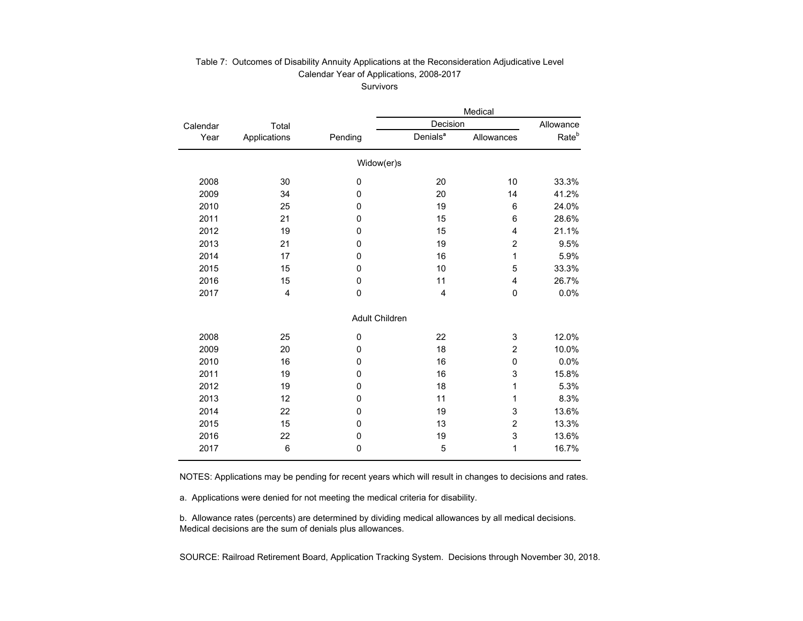### Table 7: Outcomes of Disability Annuity Applications at the Reconsideration Adjudicative Level Calendar Year of Applications, 2008-2017 Survivors

|          |                 |         |                       | Medical                 |                   |
|----------|-----------------|---------|-----------------------|-------------------------|-------------------|
| Calendar | Total           |         | Decision              |                         | Allowance         |
| Year     | Applications    | Pending | Denials <sup>a</sup>  | Allowances              | Rate <sup>b</sup> |
|          |                 |         | Widow(er)s            |                         |                   |
| 2008     | 30              | 0       | 20                    | 10                      | 33.3%             |
| 2009     | 34              | 0       | 20                    | 14                      | 41.2%             |
| 2010     | 25              | 0       | 19                    | 6                       | 24.0%             |
| 2011     | 21              | 0       | 15                    | 6                       | 28.6%             |
| 2012     | 19              | 0       | 15                    | 4                       | 21.1%             |
| 2013     | 21              | 0       | 19                    | $\overline{\mathbf{c}}$ | 9.5%              |
| 2014     | 17              | 0       | 16                    | 1                       | 5.9%              |
| 2015     | 15              | 0       | 10                    | 5                       | 33.3%             |
| 2016     | 15              | 0       | 11                    | 4                       | 26.7%             |
| 2017     | 4               | 0       | 4                     | 0                       | 0.0%              |
|          |                 |         | <b>Adult Children</b> |                         |                   |
| 2008     | 25              | 0       | 22                    | 3                       | 12.0%             |
| 2009     | 20              | 0       | 18                    | $\overline{c}$          | 10.0%             |
| 2010     | 16              | 0       | 16                    | 0                       | 0.0%              |
| 2011     | 19              | 0       | 16                    | 3                       | 15.8%             |
| 2012     | 19              | 0       | 18                    | 1                       | 5.3%              |
| 2013     | 12              | 0       | 11                    | 1                       | 8.3%              |
| 2014     | 22              | 0       | 19                    | 3                       | 13.6%             |
| 2015     | 15              | 0       | 13                    | $\overline{c}$          | 13.3%             |
| 2016     | 22              | 0       | 19                    | 3                       | 13.6%             |
| 2017     | $6\phantom{1}6$ | 0       | 5                     | 1                       | 16.7%             |

NOTES: Applications may be pending for recent years which will result in changes to decisions and rates.

a. Applications were denied for not meeting the medical criteria for disability.

b. Allowance rates (percents) are determined by dividing medical allowances by all medical decisions. Medical decisions are the sum of denials plus allowances.